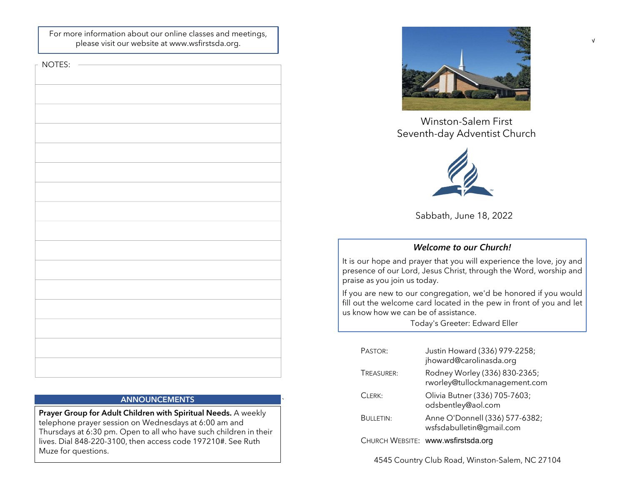For more information about our online classes and meetings, please visit our website at www.wsfirstsda.org.

NOTES:

# **ANNOUNCEMENTS**

`

Prayer Group for Adult Children with Spiritual Needs. A weekly telephone prayer session on Wednesdays at 6:00 am and Thursdays at 6:30 pm. Open to all who have such children in their lives. Dial 848-220-3100, then access code 197210#. See Ruth Muze for questions.



Winston-Salem First



Sabbath, June 18, 2022

# Welcome to our Church!

Winston-Salem First<br>Seventh-day Adventist Church<br>Sabbath, June 18, 2022<br>Welcome to our Church!<br>It is our hope and prayer that you will experience the love, joy and<br>praise as you join us today.<br>If you are new to our congreg Winston-Salem First<br>
Seventh-day Adventist Church<br>
Seventh-day Adventist Church<br>
Sabbath, June 18, 2022<br>
Welcome to our Church!<br>
It is our hope and prayer that you will experience the love, joy and<br>
presence of our Lord, J Winston-Salem First<br>
Seventh-day Adventist Church<br>
Sabbath, June 18, 2022<br>
Welcome to our Church!<br>
It is our hope and prayer that you will experience the love, joy and<br>
presence of our Lord, Jesus Christ, through the Word, Winston-Salem First<br>
Seventh-day Adventist Church<br>
Sabbath, June 18, 2022<br>
Welcome to our Church!<br>
It is our hope and prager that you will experience the love, joy and<br>
presence of our Lord, Jesus Christ, through the Word, Winston-Salem First<br>
Seventh-day Adventist Church<br>
Sabbath, June 18, 2022<br>
Welcome to our Church!<br>
It is our hope and prayer that you will experience the love, joy and<br>
praise as you join us today.<br>
If you are new to our c

|                                  | Sabbath, June 18, 2022                                                                                                                                           |
|----------------------------------|------------------------------------------------------------------------------------------------------------------------------------------------------------------|
|                                  | <b>Welcome to our Church!</b>                                                                                                                                    |
| se as you join us today.         | our hope and prayer that you will experience the love, joy and<br>sence of our Lord, Jesus Christ, through the Word, worship and                                 |
| now how we can be of assistance. | ou are new to our congregation, we'd be honored if you would<br>out the welcome card located in the pew in front of you and let<br>Today's Greeter: Edward Eller |
| PASTOR:                          | Justin Howard (336) 979-2258;<br>jhoward@carolinasda.org                                                                                                         |
| TREASURER:                       | Rodney Worley (336) 830-2365;<br>rworley@tullockmanagement.com                                                                                                   |
| CLERK:                           | Olivia Butner (336) 705-7603;<br>odsbentley@aol.com                                                                                                              |
| <b>BULLETIN:</b>                 | Anne O'Donnell (336) 577-6382;<br>wsfsdabulletin@gmail.com                                                                                                       |
|                                  | CHURCH WEBSITE: www.wsfirstsda.org                                                                                                                               |

√